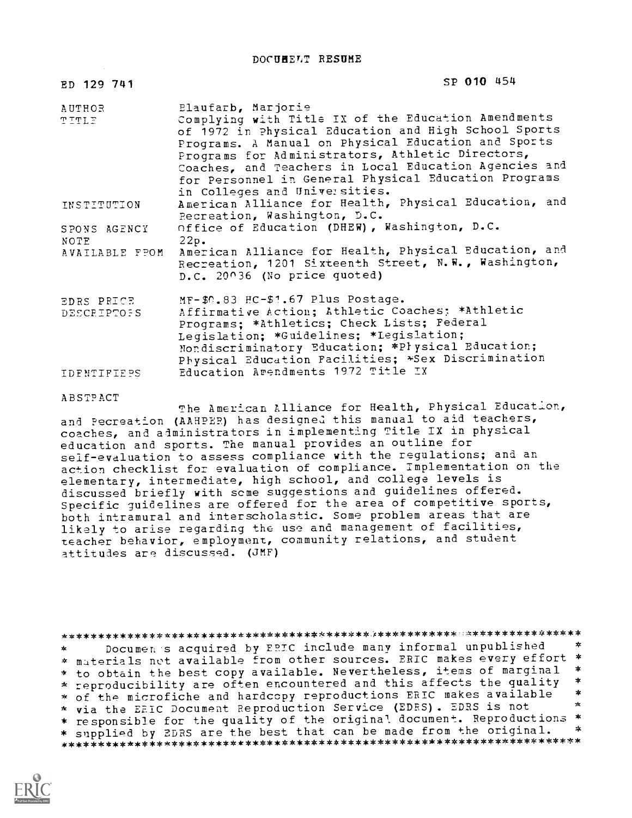| ED 129 741                | SP 010 454                                                                                                                                                                                                                                                                                                                                                                                     |
|---------------------------|------------------------------------------------------------------------------------------------------------------------------------------------------------------------------------------------------------------------------------------------------------------------------------------------------------------------------------------------------------------------------------------------|
| AUTHOR<br>TITLE           | Elaufarb, Marjorie<br>Complying with Title IX of the Education Amendments<br>of 1972 in Physical Education and High School Sports<br>Programs. A Manual on Physical Education and Sports<br>Programs for Administrators, Athletic Directors,<br>Coaches, and Teachers in Local Education Agencies and<br>for Personnel in General Physical Education Programs<br>in Colleges and Universities. |
| INSTITUTION               | American Alliance for Health, Physical Education, and<br>Recreation, Washington, D.C.                                                                                                                                                                                                                                                                                                          |
| SPONS AGENCY<br>NOTE      | Office of Education (DHEW), Washington, D.C.<br>22p.                                                                                                                                                                                                                                                                                                                                           |
|                           | AVAILABLE FPOM American Alliance for Health, Physical Education, and<br>Recreation, 1201 Sixteenth Street, N.W., Washington,<br>D.C. 20036 (No price quoted)                                                                                                                                                                                                                                   |
| EDRS PRICE<br>DESCRIPTOES | MF-\$0.83 HC-\$1.67 Plus Postage.<br>Affirmative Action; Athletic Coaches; *Athletic<br>Programs; *Athletics; Check Lists; Federal<br>Legislation; *Guidelines; *Legislation;<br>Nondiscriminatory Education; *Płysical Education;<br>Physical Education Facilities; *Sex Discrimination                                                                                                       |
| <b>IDFNTIFIEPS</b>        | Education Arendments 1972 Title IX                                                                                                                                                                                                                                                                                                                                                             |

ABSTPACT

The American Alliance for Health, Physical Education, and Pecreation (AAHPER) has designed this manual to aid teachers, coaches, and administrators in implementing Title IX in physical education and sports. The manual provides an outline for self-evaluation to assess compliance with the regulations; and an action checklist for evaluation of compliance. Implementation on the elementary, intermediate, high school, and college levels is discussed briefly with some suggestions and guidelines offered. Specific guidelines are offered for the area of competitive sports, both intramural and interscholastic. Some problem areas that are likely to arise regarding the use and management of facilities, teacher behavior, employment, community relations, and student attitudes are discussed. (JMF)

Documen s acquired by ERIC include many informal unpublished  $\star$ \* materials not available from other sources. ERIC makes every effort \* \* to obtain the best copy available. Nevertheless, items of marginal \* \* reproducibility are often encountered and this affects the quality  $\star$ \* of the microfiche and hardcopy reproductions ERIC makes available  $\pmb{\ast}$ \* via the EEIC Document Reproduction Service (EDRS). EDRS is not  $\star$ \* responsible for the quality of the original document. Reproductions \* \* supplied by EDRS are the best that can be made from the original.  $\pm$ 

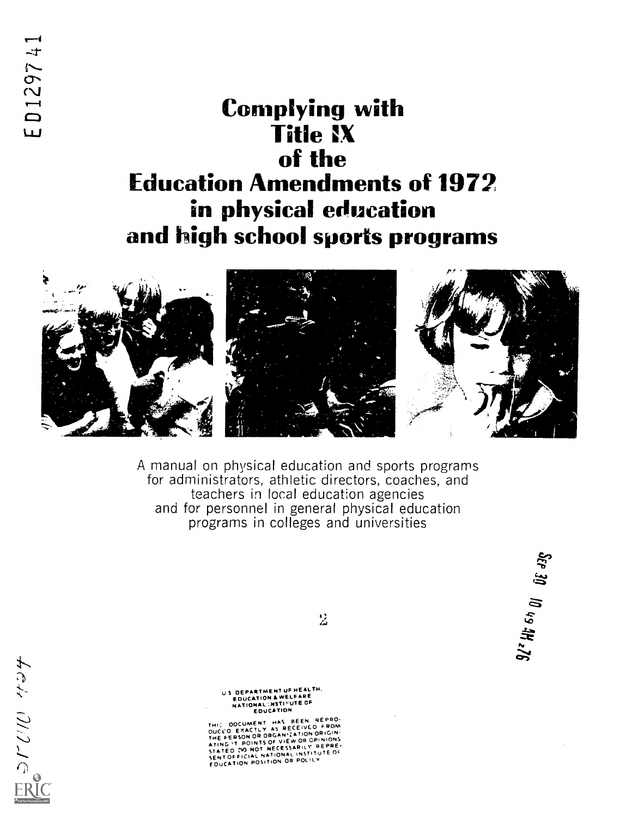## **Complying with Title XX** of the **Education Amendments of 1972** in physical education and high school sports programs



A manual on physical education and sports programs for administrators, athletic directors, coaches, and teachers in local education agencies and for personnel in general physical education programs in colleges and universities

 $\frac{1}{\sqrt{2}}\sum_{i=1}^{n} \sum_{j=1}^{n} \sum_{j=1}^{n} \sum_{j=1}^{n} \sum_{j=1}^{n} \sum_{j=1}^{n} \sum_{j=1}^{n} \sum_{j=1}^{n} \sum_{j=1}^{n} \sum_{j=1}^{n} \sum_{j=1}^{n} \sum_{j=1}^{n} \sum_{j=1}^{n} \sum_{j=1}^{n} \sum_{j=1}^{n} \sum_{j=1}^{n} \sum_{j=1}^{n} \sum_{j=1}^{n} \sum_{j=1}^{n} \sum_{j=1}^{n} \sum_{j=1}^{n}$ 

 $\ddot{z}$ 

 $\delta \epsilon_{r}$  30 10 49 4Hz 76

US DEPARTMENT UF HEALTH.<br>EDUCATION & WELFARE<br>NATIONAL :NSTIYUTE OF<br>EDUCATION

THIV OOCUMENT HAS BEEN REPRO-<br>OUCLO EXACTLY AS RECEIVED FROM<br>THE PERSON OR ORGANIZATION ORIGIN-THE FERSON OR ORGANIZATION ORIGIN-<br>ATING IT: POINTS OF VIEW OR OPINIONS<br>STATEO DO NOT NECESSARILY: REPRE-<br>SENTOFFICIAL NATIONAL INSTITUTE OF<br>FOUCATION POSITION OR POLICY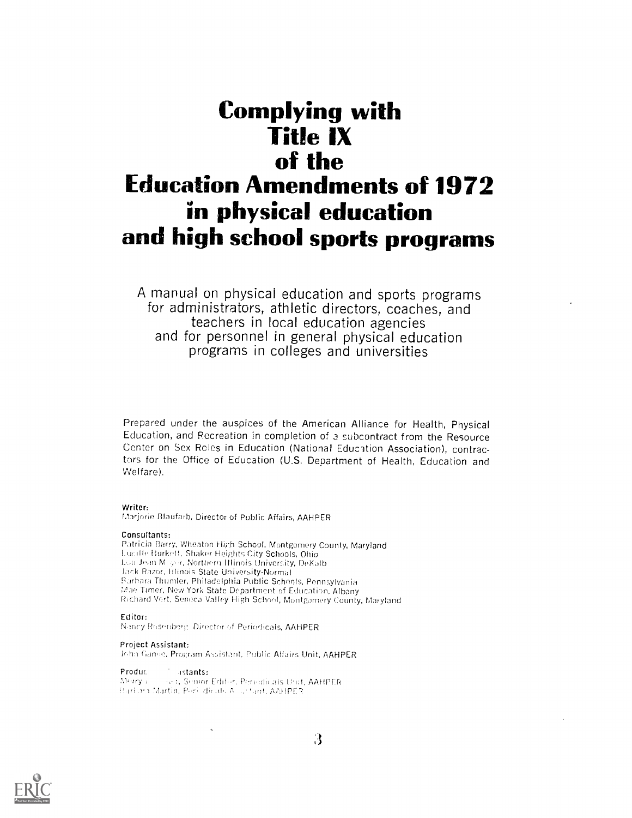# **Complying with Title IX** of the **Education Amendments of 1972** in physical education and high school sports programs

### A manual on physical education and sports programs for administrators, athletic directors, coaches, and teachers in local education agencies and for personnel in general physical education programs in colleges and universities

Prepared under the auspices of the American Alliance for Health, Physical Education, and Recreation in completion of a subcontract from the Resource Center on Sex Roles in Education (National Education Association), contractors for the Office of Education (U.S. Department of Health, Education and Welfare).

#### Writer:

Marjorie Blaufarb, Director of Public Affairs, AAHPER

#### Consultants:

Patricia Barry, Wheaton High School, Montgomery County, Maryland Lucitle Burkett, Shaker Heights City Schools, Ohio Lou Jean Mayer, Northern Illinois University, DeKalb Jack Razor, Illinois State University-Normal Barbara Thumler, Philadelphia Public Schools, Pennsylvania Mae Timer, New York State Department of Education, Albany Richard Vert, Seneca Valley High School, Montgomery County, Maryland

#### Editor:

Nancy Rosemberg, Director of Periodicals, AAHPER

#### Project Assistant:

John Ganoe, Program Assistant, Public Affairs Unit, AAHPER

Produc **Constants:** Merry (E. Lee), Senior Editor, Periodicals Unit, AAHPER Bartona Martin, Peri, dicab. A. Untant, AAHPER

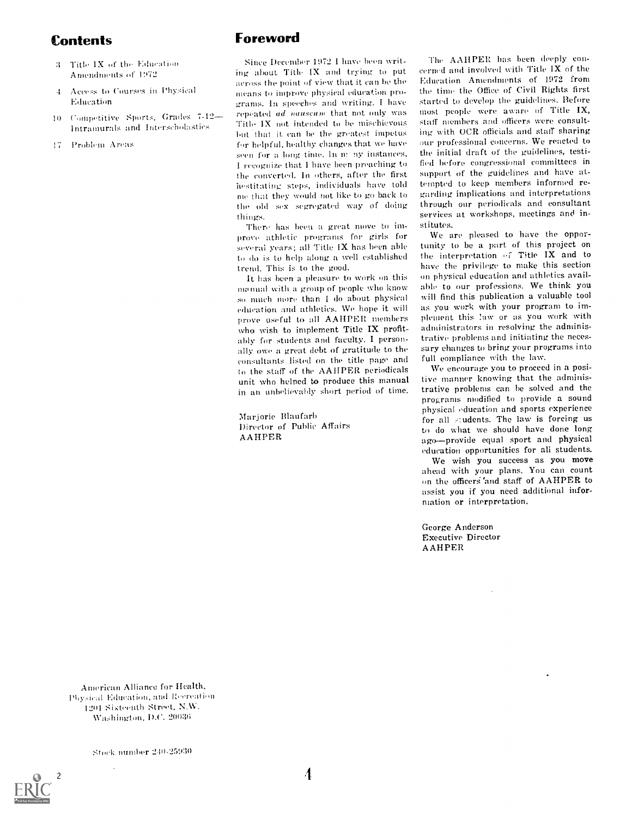### **Contents**

- 3. Title IX of the Education A mendnients of 1972
- 4 Access to Courses in Physical Education
- <sup>10</sup> Competitive Sports, Grades 7-12 Intramurals and Interscholastics
- <sup>17</sup> Problem A reas

Since December 1972 I have been writing about Title IX and trying to put across the point of view that it can be the means to improve physical education programs. In speeches and writing, I have repeated ad nauscum that not only was Title IX not intended to be mischievous but that it can be the greatest impetus for helpful, healthy changes that we have seen for a long time. In many instances, I recognise that I have been preaching to the converted. In others, after the first hestitating steps, individuals have told me that they would not like to go back to the old sex segregated way of doing things.

Foreword

There has been a great move to improve athletic programs for girls for several years; all Title IX has been able to do is to help along a well established trend. This is to the good.

It has been a pleasure to work on this monual with a group of people who know so much more than I do about physical education and athletics. We hope it will prove useful to all AAIIPER members who wish to implement Title IX profitably for students and faculty. I personally owe a great debt of gratitude to the consultants listed on the title page and to the staff of the AA IIPER Periodicals unit who helped to produce this manual in an unbelievably short period of time.

Marjorie Blaufarb Director of Public Affairs AAHPER

The AAIIPER has been deeply concerned and involved with Title IX of the Education Amendments of 1972 from the time the Office of Civil Rights first started to develop the guidelines. Before most people were aware of Title IX, staff members and officers were consulting with OCR officials and staff sharing our professional concerns. We reacted to the initial draft of the guidelines, testified before congressional committees in support of the guidelines and have attempted to keep members informed regarding implications and interpretations through our periodicals and consultant services at workshops, meetings and institutes.

We are pleased to have the opportunity to be a part of this project on the interpretation of Title IX and to have the privilege to make this section on physical education and athletics available to our professions. We think you will find this publication a valuable tool as you work with your program to implement this !aw or as you work with administrators in resolving the administrative problems and initiating the necessary changes to bring your programs into full compliance with the law.

We encourage you to proceed in a positive manner knowing that the administrative problems can be solved and the programs modified to provide a sound physical education and sports experience for all s:udents. The law is forcing us to do what we should have done long ago-provide equal sport and physical education opportunities for ali students.

We wish you success as you move ahead with your plans. You can count on the officers 'and staff of AAHPER to assist you if you need additional information or interpretation.

George Anderson Executive Director AAHPER

American Alliance for Health. Physical Education, and Recreation 1201 Sixteenth Street, N.'W. \Vashington, D.C. 20030

Steck number 210-25930

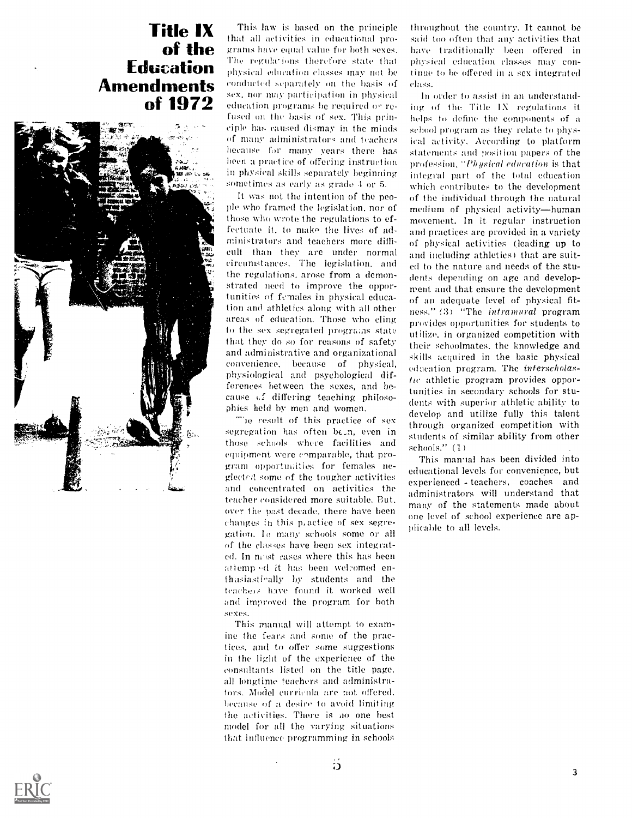# Title IX Education Amendments

of the  $\frac{m}{g}$  may have equal value for both sexes.  $\frac{m}{g}$ of  $1972$  education programs be required or re-This law is based on the principle that all activities in educational pro-The regulations therefore state that physical education classes may not be conducted separately on the basis of sex, nor may participation in physical fused on the basis of sex. This principle hat. caused dismay in the minds of many administrators and teachers because for many years there has been a practice of offering instruction in physical skills separately beginning sometimes as early as grade 4 or 5.

> It was not the intention of the people who framed the legislation, nor of those who wrote the regulations to effectuate it, to make the lives of administrators and teachers more difficult than they are under normal circumstances. The legislation. and the regulations, arose from a demonstrated need to improve the opportunities of females in physical education and athletics along with all other areas of education. Those who cling to the sex segregated progra;as state that they do so for reasons of safety and administrative and organizational convenience, because of physical, physiological and psychological differences between the sexes, and because of differing teaching philosophies held by men and women.

The result of this practice of sex segregation has often been, even in those schools where facilities and equipment were c'mnparable, that program opportunities for females neglectrd some of the tougher activities and concentrated on activities the teacher considered more suitable. But, over the past decade, there have been changes in this p,actice of sex segregation. In many schools some or all of the clas:es have been sex integrated. In nest cases where this has been attemp --d it has been welcomed enthasiastically by students and the teacheis have found it worked well aml improved the program for both sexes.

This manual will attempt to examine the fears and some of the practices, and to offer some suggestions in the light of the experience of the consultants listed on the title page, all longtime teachers and administrators. Model curricula are not offered. hccause of a desire to avoid limiting the activities. There is no one best model for all the varying situations that influence programming in schools

throughout the country. It cannot be said too often that any activities that have traditionally been offered in physical ethication classes may contimue to be offered in a sex integrated class.

In order to assist in an understanding of the Title IX regulations it. helps to define the components of a school program as they relate to physical activity. According to platform statements and position papers of the profession. "Physical education is that integral part of the total education which contributes to the development of the individual through the natural medium of physical activity-human movement. In it regular instruction and practices are provided in a variety of physical activities (leading up to and including athletics) that are suited to the nature and needs of the students depending on age and development and that ensure the development of an adequate level of physical fitness." (3) "The intramural program provides opportunities for students to ut ilize, in organized competition with their schoolmates, the knowledge and skills acquired in the basic physical education program. The interscholas $te$  athletic program provides opportunities in secondary schools for students with superior athletic ability to develop and utilize fully this talent through organized competition with students of similar ability from other schools." (1)

This manual has been divided into educational levels for convenience, but experienced - teachers, coaches and administrators will understand that many of the statements made about one level of school experience are applicable to all levels.

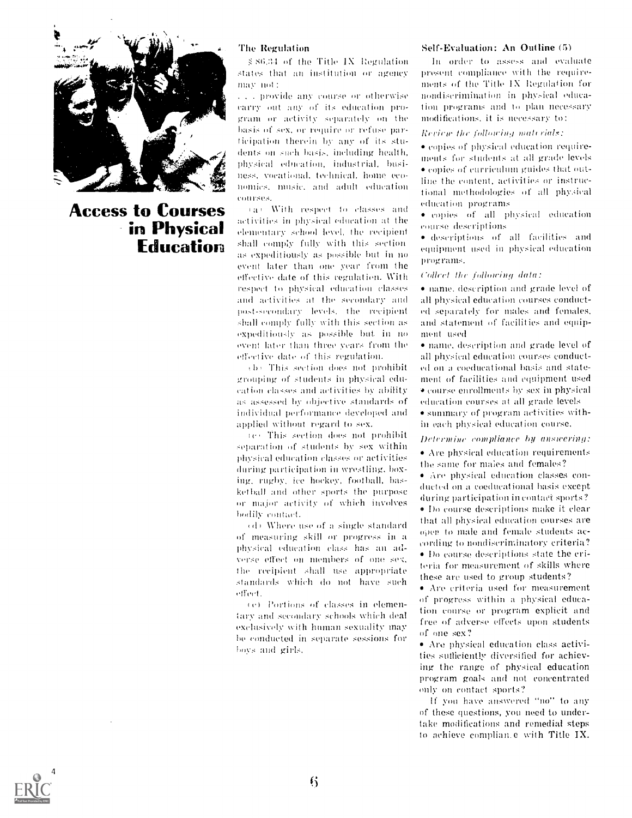

# Access to Courses in Physical<br>Education

#### The Regulation

 $$86.34$  of the Title IX Regulation states that an institution or agency may not :

. . provide any course or otherwise carry out any of its education program or activity separately on the basis of sex, or require or refuse participation therein by any of its students on such basis, including health, physical education, industrial, business, vocational, technical, home economics. music, and adult education  $\frac{1}{100}$  can With respect to classes and

activities in physical education at the elementary chool level, the recipient shall comply fully with this section as expeditiously as possible hut in no event later than one year from the effective date of this regulation. With respect to physical education classes and activities at the secondary and post-secondary levels, the recipient shall comply fully kvith this section as expedition-dy as possible but in no event later than three years from the effective (late of this regulation.

 $(b)$ . This section does not prohibit grouping of students in physical education classes and activities by ability as assessed by objective standards of individual performance developed and applied without regard to sex.

 $(c)$ . This section does not prohibit separation of students by sex within physical education classes or act ivities (luring participation in wrestling, boxing. rugby, ice hockey, football, basketball and other sports the purpose or major activity of which involves bodily contact.

 $\langle (d) \rangle$ . Where use of a single standard of measuring skill or progress in a physical education class has an adverse effect on members of one sex, the recipient shall use appropriate standards which do not have such effect.

«.) Portions of classes in elementary and secondary schools \vhich deal exclusively with human sexuality may lie conducted in separate sessions for Loys and girls.

#### Self-Evaluation: An Outline (5)

In order to assess and evaluate present compliance with the requirements of the Title IX Regulation for nondiscriminat ion in phy.sical education programs and to plan necessary modifications, it is necessary to:

#### Review the following materials:

copies of physical education requirements for students at all grade levels copies uf curriculum guides that outline the content, activities or instructional methodologies of all physical education programs

copies of all physical education course descriptions

 $\bullet$  descriptions of all facilities and equipment used in physical education programs.

#### Collect the following data:

 $\bullet$  name, description and grade level of all physical education courses conducted separately for males and females, and statement of facilities and equipment used

name, description and grade level of all physical education courses conducted on a coeducational basis and statement of facilities and equipment used course enrollments by sex in physical education courses at all grade levels summary of program activities within each physical education course.

 $Determine$  compliance by answering:

Are physical education requirements the same for males and females?

• Are physical education classes conducted on a coeducational basis except during participation in contact sports?  $\bullet$  Do course descriptions make it clear that all physical education courses are open to male and female students according to nondiscriminatory criteria? • Do course descriptions state the criteria for measurement of skills where these are used to group students?

 $\bullet$  Are criteria used for measurement of progress within a physical education course or program explicit and free of adverse effects upon students of one sex?

Are physical education class activities sufficiently diversified for achieving the range of physical education program goals and not concentrated only on contact sports?

If you have answered "no" to any of these questions, you need to undertake modifications and remedial steps to achieve complian e with Title IX.

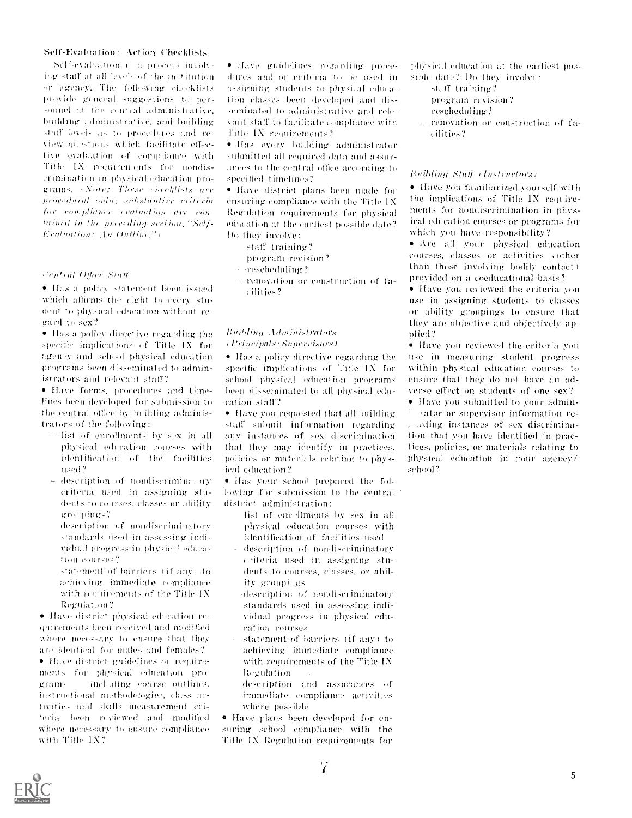#### **Self-Evaluation: Action Checklists**

Self-evaluation ( ) a process involving staff at all levels of the motitution or agency. The following checklists provide general suggestions to persound at the central administrative. building administrative, and building staff levels as to procedures and review questions which facilitate effective evaluation of compliance with Title IX requirements for nondiscrimination in physical education programs. Note: These checklists are procedural only; substantive criteria for compliance evaluation are confained in the preceding section, "Self-Evaluation: An Outline,")

#### Central Office Staff

. Has a policy statement been issued which affirms the right to every student to physical education without regard to sex?

• Has a policy directive regarding the specific implications of Title IX for agency and school physical education programs been disseminated to administrators and relevant staff?

• Have forms, procedures and timelines been developed for submission to the central office by building administrators of the following:

- --list of enrollments by sex in all physical education courses with identification of the facilities used?
- $\sim$  description of nondiscriming ory criteria used in assigning students to courses, classes or ability groupings?
	- description of nondiscriminatory standards used in assessing individual progress in physical education courses?
	- statement of barriers (if any) to achieving immediate compliance with requirements of the Title IX Regulation?

• Have district physical education requirements been received and modified where necessary to ensure that they are identical for males and females? . Have district guidelines or requirements for physical education proincluding course outlines, grams instructional methodologies, class activities and skills measurement criteria been reviewed and modified where necessary to ensure compliance with Title IX?

. Have guidelines regarding procedures and or criteria to be used in assigning students to physical education classes been developed and disseminated to administrative and relevant staff to facilitate compliance with Title IX requirements?

. Has every building administrator submitted all required data and assurances to the central office according to specified timelines?

. Have district plans been made for ensuring compliance with the Title IX Regulation requirements for physical education at the carliest possible date? Do they involve:

- staff training?
- program revision?
- -rescheduling?
- renovation or construction of facilities?

#### **Building Administrators** (Principals/Supervisors)

 $\bullet$  Has a policy directive regarding the specific implications of Title IX for school physical education programs been disseminated to all physical education staff?

• Have you requested that all building staff submit information regarding any instances of sex discrimination that they may identify in practices. policies or materials relating to physical education?

. Has your school prepared the following for submission to the central district administration:

> list of enrellments by sex in all physical education courses with identification of facilities used

description of nondiscriminatory criteria used in assigning students to courses, classes, or ability groupings.

description of nondiscriminatory standards used in assessing individual progress in physical education courses

statement of barriers (if any) to achieving immediate compliance with requirements of the Title IX Regulation

description and assurances of immediate compliance activities where possible

. Have plans been developed for ensuring school compliance with the Title IX Regulation requirements for

physical education at the earliest possible date? Do they involve:

- staff training?
- program revision?
- rescheduling?
- ----renovation or construction of facilities?

#### **Building Staff** (Instructors)

. Have you familiarized yourself with the implications of Title IX requirements for nondiscrimination in physical education courses or programs for which you have responsibility?

· Are all your physical education courses, classes or activities (other than those involving bodily contact) provided on a coeducational basis?

• Have you reviewed the criteria you use in assigning students to classes or ability groupings to ensure that they are objective and objectively applied?

. Have you reviewed the criteria you use in measuring student progress within physical education courses to ensure that they do not have an adverse effect on students of one sex?

. Have you submitted to your adminrator or supervisor information rea ading instances of sex discrimination that you have identified in practices, policies, or materials relating to physical education in your agency/ school?

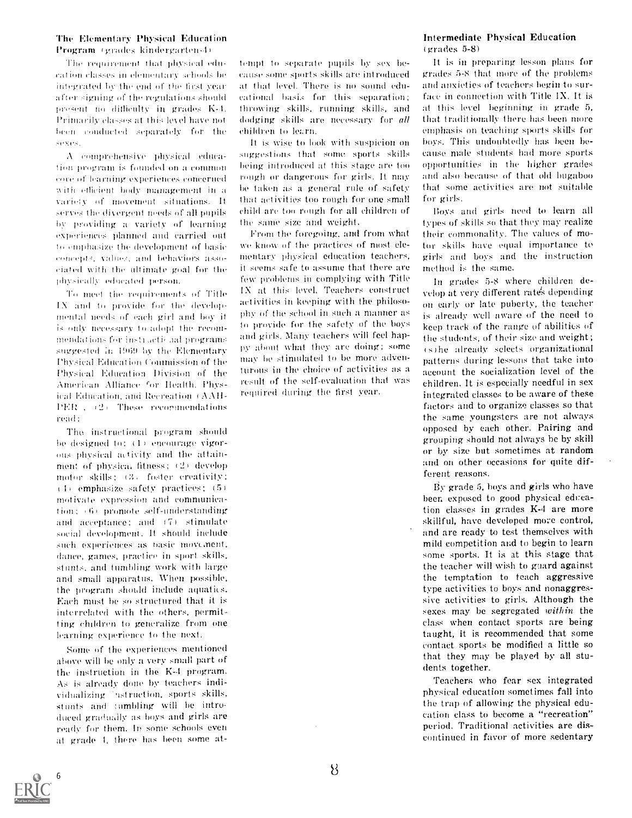#### The Elementary Physical Education Program (grades kindergarten-4)

The requirement that physical education classes in elementary schools be integrated by the end of the first year. after signing of the regulations should present no difficulty in grades K-4. Primarily classes at this level have not been conducted separately for the sexes.

A comprehensive physical education program is founded on a common core of learning experiences concerned with efficient body management in a variety of movement situations. It serves the divergent needs of all pupils by providing a variety of learning experiences planned and carried out to emphasize the development of basic concepts, values, and behaviors associated with the ultimate goal for the physically educated person.

To meet the requirements of Title IX and to provide for the developmental needs of each girl and boy it is only necessary to adopt the recommendations for instructional programs suggested in 1969 by the Elementary Physical Education Commission of the Physical Education Division of the American Alliance for Health, Physical Education, and Recreation (AAH-PER . (2) These recommendations read:

The instructional program should be designed to:  $(1)$  encourage vigorous physical activity and the attainment of physical fitness; (2) develop motor skills: (3) foster creativity: (1) emphasize safety practices: (5) motivate expression and communication; (6) promote self-understanding and acceptance; and (7) stimulate social development. It should include such experiences as basic movement, dance, games, practice in sport skills. stunts, and tumbling work with large and small apparatus. When possible, the program should include aquatics. Each must be so structured that it is interrelated with the others, permitting children to generalize from one learning experience to the next.

Some of the experiences mentioned above will be only a very small part of the instruction in the K-4 program. As is already done by teachers individualizing 'ustruction, sports skills. stunts and tumbling will be introduced gradually as boys and girls are ready for them. In some schools even at grade 4, there has been some attempt to separate pupils by sex because some sports skills are introduced at that level. There is no sound educational basis for this separation; throwing skills, running skills, and dodging skills are necessary for all children to learn.

It is wise to look with suspicion on suggestions that some sports skills being introduced at this stage are too rough or dangerous for girls. It may be taken as a general rule of safety that activities too rough for one small child are too rough for all children of the same size and weight.

From the foregoing, and from what we know of the practices of most elementary physical education teachers, it seems safe to assume that there are few problems in complying with Title IX at this level, Teachers construct activities in keeping with the philosophy of the school in such a manner as to provide for the safety of the boys and girls. Many teachers will feel happy about what they are doing; some may be stimulated to be more adventurous in the choice of activities as a result of the self-evaluation that was required during the first year.

#### Intermediate Physical Education (grades 5-8)

It is in preparing lesson plans for grades 5-8 that more of the problems and anxieties of teachers begin to surface in connection with Title IX. It is at this level beginning in grade 5, that traditionally there has been more emphasis on teaching sports skills for boys. This undoubtedly has been because male students had more sports opportunities in the higher grades and also because of that old bugaboo that some activities are not suitable for girls.

Boys and girls need to learn all types of skills so that they may realize their commonality. The values of motor skills have equal importance to girls and boys and the instruction method is the same.

In grades 5-8 where children develop at very different rates depending on early or late puberty, the teacher is already well aware of the need to keep track of the range of abilities of the students, of their size and weight; (s)he already selects organizational patterns during lessons that take into account the socialization level of the children. It is especially needful in sex integrated classes to be aware of these factors and to organize classes so that the same youngsters are not always opposed by each other. Pairing and grouping should not always be by skill or by size but sometimes at random and on other occasions for quite different reasons.

By grade 5, boys and girls who have been exposed to good physical education classes in grades K-4 are more skillful, have developed more control, and are ready to test themselves with mild competition and to begin to learn some sports. It is at this stage that the teacher will wish to guard against the temptation to teach aggressive type activities to boys and nonaggressive activities to girls. Although the sexes may be segregated within the class when contact sports are being taught, it is recommended that some contact sports be modified a little so that they may be played by all students together.

Teachers who fear sex integrated physical education sometimes fall into the trap of allowing the physical education class to become a "recreation" period. Traditional activities are discontinued in favor of more sedentary

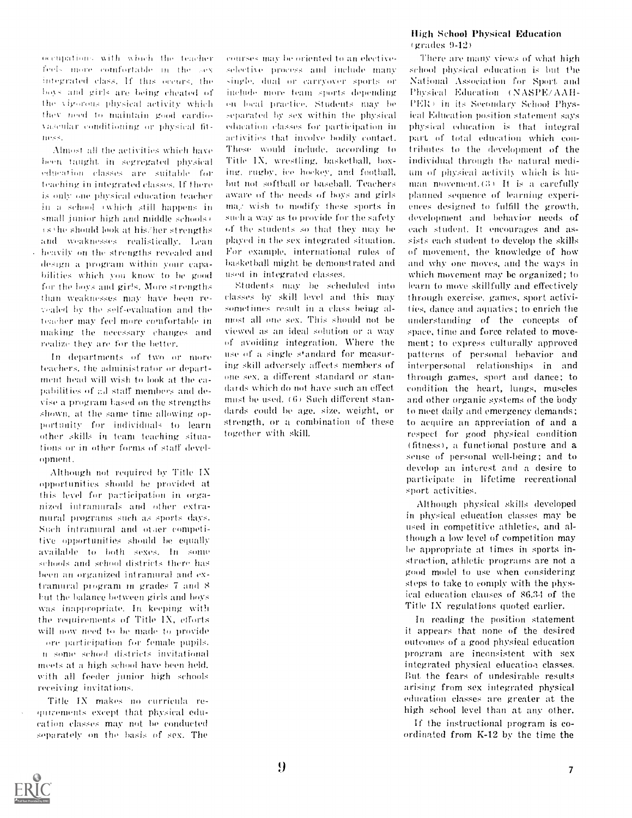occupations with which the teacher feels more comfortable in the sex integrated class. If this occurs, the boys and girls are being cheated of the vigorous physical activity which they need to maintain good cardiovascular conditioning or physical fitness.

Almost all the activities which have been taught in segregated physical education classes are suitable for teaching in integrated classes. If there is only one physical education teacher in a school (which still happens in small junior high and niddle schools) (s) he should look at his/her strengths and weaknesses realistically. Lean heavily on the strengths revealed and design a program within your capabilities which you know to be good for the boys and girls. More strengths than weaknesses may have been revealed by the self-evaluation and the teacher may feel more comfortable in making the necessary changes and realize they are for the better.

In departments of two or more teachers, the administrator or department head will wish to look at the capabilities of all staff members and devise a program based on the strengths shown, at the same time allowing opportunity for individuals to learn other skills in team teaching situations or in other forms of staff development.

Although not required by Title IX opportunities should be provided at this level for participation in organized intramurals and other extramural programs such as sports days. Such intramural and other competitive opportunities should be equally available to both sexes. In some schools and school districts there has been an organized intramural and extrannical program in grades 7 and 8 but the balance between girls and boys was inappropriate. In keeping with the requirements of Title IX, efforts will now need to be made to provide ore participation for female pupils.

n some school districts invitational meets at a high school have been held. with all feeder junior high schools receiving invitations.

Title IX makes no curricula requirements except that physical education classes may not be conducted separately on the basis of sex. The

courses may be oriented to an electiveselective process and include many single, dual or carryover sports or include more team sports depending on local practice. Students may be separated by sex within the physical education classes for participation in activities that involve bodily contact. These would include, according to Title IX, wrestling, basketball, boxing, rugby, ice hockey, and football, but not softball or baseball. Teachers aware of the needs of boys and girls may wish to modify these sports in such a way as to provide for the safety of the students so that they may be played in the sex integrated situation. For example, international rules of basketball might be demonstrated and used in integrated classes.

Students may be scheduled into classes by skill level and this may sometimes result in a class being almost all one sex. This should not be viewed as an ideal solution or a way of avoiding integration. Where the use of a single standard for measuring skill adversely affects members of one sex, a different standard or standards which do not have such an effect must be used. (6) Such different standards could be age, size, weight, or strength, or a combination of these together with skill.

#### **High School Physical Education**  $(grades 9-12)$

There are many views of what high school physical education is but the National Association for Sport and Physical Education (NASPE/AAH-PER) in its Secondary School Physical Education position statement says physical education is that integral part of total education which contributes to the development of the individual through the natural mediam of physical activity which is human movement.  $(3)$  It is a carefully planned sequence of learning experiences designed to fulfill the growth, development and behavior needs of each student. It encourages and assists each student to develop the skills of movement, the knowledge of how and why one moves, and the ways in which movement may be organized; to learn to move skillfully and effectively through exercise, games, sport activities, dance and aquaties; to enrich the understanding of the concepts of space, time and force related to movement; to express culturally approved patterns of personal behavior and interpersonal relationships in and through games, sport and dance; to condition the heart, lungs, muscles and other organic systems of the body to meet daily and emergency demands; to acquire an appreciation of and a respect for good physical condition (fitness), a functional posture and a sense of personal well-being; and to develop an interest and a desire to participate in lifetime recreational sport activities.

Although physical skills developed in physical education classes may be used in competitive athletics, and although a low level of competition may be appropriate at times in sports instruction, athletic programs are not a good model to use when considering steps to take to comply with the physical education clauses of 86.34 of the Title IX regulations quoted earlier.

In reading the position statement it appears that none of the desired outcomes of a good physical education program are inconsistent with sex integrated physical education classes. But the fears of undesirable results arising from sex integrated physical education classes are greater at the high school level than at any other.

If the instructional program is coordinated from K-12 by the time the

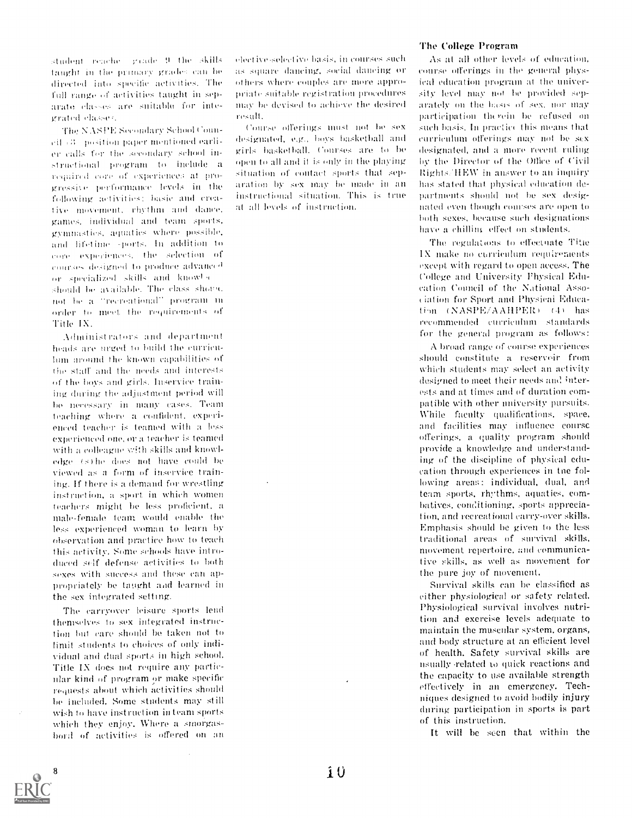student reache groude 9 the skills taught in the primary grades can be directed into specific activities. The full range of activities taught in separate classes are suitable for integrated classes.

The NASPE Secondary School Couneil (3) position paper mentioned earlier calls for the secondary school instructional program to include a required core of experiences at progressive performance levels in the following activities; basic and creative movement, rhythm and dance, games, individual and team sports, gymnastics, aquaties where possible, and lifetime sports. In addition to core experiences, the selection of courses designed to produce advanced or specialized skills and knowla should be available. The class showe, not be a "recreational" program in order to meet the requirements of Title IX.

Administrators and department heads are urged to build the curriculum around the known capabilities of the staff and the needs and interests of the boys and girls. Inservice training during the adjustment period will be necessary in many cases. Team teaching where a confident, experienced teacher is teamed with a less experienced one, or a teacher is teamed with a colleague with skills and knowledge (s) he does not have could be viewed as a form of inservice training. If there is a demand for wrestling instruction, a sport in which women teachers might be less proficient, a male-female team would enable the less experienced woman to learn by observation and practice how to teach this activity. Some schools have introduced self defense activities to both sexes with success and these can appropriately be taught and learned in the sex integrated setting.

The carryover leisure sports lend themselves to sex integrated instruction but care should be taken not to limit students to choices of only individual and dual sports in high school. Title IX does not require any particnlar kind of program or make specific requests about which activities should be included. Some students may still wish to have instruction in team sports which they enjoy. Where a smorgasbord of activities is offered on an

elective selective basis, in courses such as square dancing, social dancing or others where couples are more appropriate suitable registration procedures may be devised to achieve the desired result.

Course offerings must not be sex designated, e.g., boys basketball and girls basketball. Courses are to be open to all and it is only in the playing situation of contact sports that separation by sex may be made in an instructional situation. This is true at all levels of instruction.

#### The College Program

As at all other levels of education, course offerings in the general physical education program at the university level may not be provided separately on the basis of sex, nor may participation therein be refused on such basis. In practice this means that curriculum offerings may not be sex designated, and a more recent ruling by the Director of the Office of Civil Rights/HEW in answer to an inquiry has stated that physical education departments should not be sex designated even though courses are open to both sexes, because such designations have a chilling effect on students.

The regulations to effectuate Title IX make no curriculum requirements except with regard to open access. The College and University Fhysical Education Council of the National Association for Sport and Physical Education (NASPE/AAHPER) (4) has recommended curriculum standards for the general program as follows:

A broad range of course experiences should constitute a reservoir from which students may select an activity designed to meet their needs and interests and at times and of duration compatible with other university pursuits. While faculty qualifications, space, and facilities may influence course offerings, a quality program should provide a knowledge and understanding of the discipline of physical education through experiences in the following areas: individual, dual, and team sports, rhythms, aquaties, combatives, conditioning, sports appreciation, and recreational carry-over skills. Emphasis should be given to the less traditional areas of survival skills, movement repertoire, and communicative skills, as well as movement for the pure joy of movement.

Survival skills can be classified as either physiological or safety related. Physiological survival involves nutrition and exercise levels adequate to maintain the musenlar system, organs, and body structure at an efficient level of health. Safety survival skills are nsually related to quick reactions and the capacity to use available strength effectively in an emergency. Techniques designed to avoid bodily injury during participation in sports is part of this instruction.

It will be seen that within the

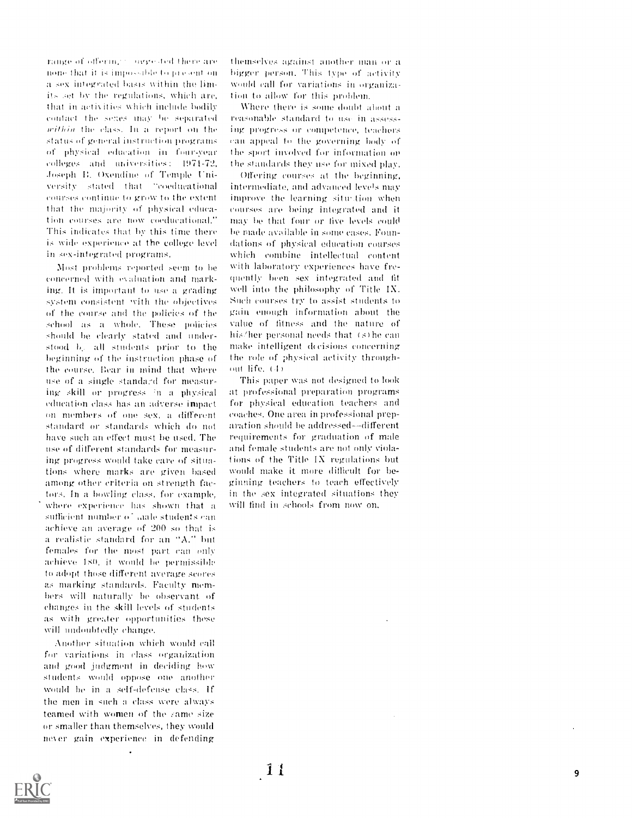range of offering to ussested there are none that it is impossible to present on a sex integrated basis within the limits set by the regulations, which are, that in activities which include bodily contact the senes may be separated within the class. In a report on the status of general instruction programs of physical education in four-year colleges and universities: 1971-72. Joseph B. Oxendine of Temple University stated that "coeducational courses continue to grow to the extent that the majority of physical education courses are now coeducational." This indicates that by this time there is wide experience at the college level in sex-integrated programs.

Most problems reported seem to be concerned with evaluation and marking. It is important to use a grading system consistent with the objectives of the course and the policies of the school as a whole. These policies should be clearly stated and understood b. all students prior to the beginning of the instruction phase of the course. Bear in mind that where use of a single standard for measuring skill or progress in a physical education class has an adverse impact on members of one sex, a different standard or standards which do not have such an effect must be used. The use of different standards for measuring progress would take care of situations where marks are given based among other criteria on strength factors. In a bowling class, for example, where experience has shown that a sufficient number of male students can achieve an average of 200 so that is a realistic standard for an "A." but females for the most part can only achieve 180, it would be permissible to adopt those different average scores as marking standards. Faculty members will naturally be observant of changes in the skill levels of students as with greater opportunities these will undoubtedly change.

Another situation which would call for variations in class organization and good judgment in deciding how students would oppose one another would be in a self-defense class. If the men in such a class were always teamed with women of the same size or smaller than themselves, they would never gain experience in defending

themselves against another man or a bigger person. This type of activity would call for variations in organization to allow for this problem.

Where there is some doubt about a reasonable standard to use in assessing progress or competence, teachers can appeal to the governing body of the sport involved for information op the standards they use for mixed play.

Offering courses at the beginning, intermediate, and advanced levels may improve the learning situation when courses are being integrated and it may be that four or five levels could be made available in some cases. Foundations of physical education courses which combine intellectual content with laboratory experiences have frequently been sex integrated and fit well into the philosophy of Title IX. Such courses try to assist students to gain enough information about the value of fitness and the nature of his/her personal needs that  $(s)$  he can make intelligent decisions concerning the role of physical activity throughout life,  $(4)$ 

This paper was not designed to look at professional preparation programs for physical education teachers and coaches. One area in professional preparation should be addressed---different requirements for graduation of male and female students are not only violations of the Title IX regulations but would make it more difficult for beginning teachers to teach effectively in the sex integrated situations they will find in schools from now on,

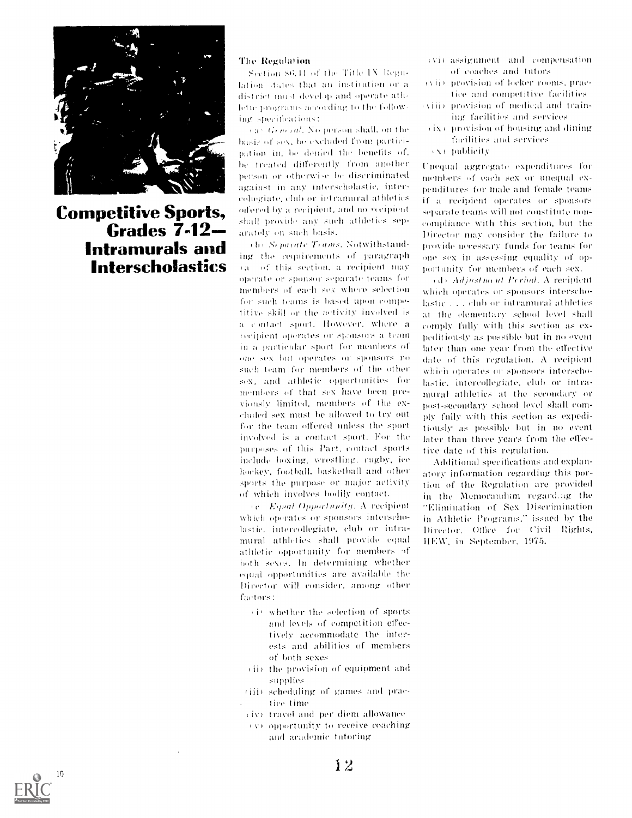

### **Competitive Sports,**  $Grades$  7-12-Intramurals and **Interscholastics**

#### The Regulation

Section 86.11 of the Title IX Regulation dates that an institution or a district must develop and operate athlette programs according to the following specifications:

eas General. No person shall, on the hasis of sex, be excluded from participation in he denied the benefits of. be treated differently from another person or otherwise be discriminated against in any interscholastic, intercollegiate, club or intramural athletics offered by a recipient, and no recipient shall provide any such athletics separately on such basis.

(b) Separate Teams, Notwithstanding the requirements of paragraph ca of this section, a recipient may operate or sponsor separate teams for members of each sex where selection for such teams is based upon competitive skill or the activity involved is a contact sport. However, where a recipient operates or sponsors a team in a particular sport for members of one sex but operates or sponsors no such team for members of the other sex, and athletic opportunities for members of that sex have been previously limited, members of the excluded sex must be allowed to try out for the team offered unless the sport involved is a contact sport. For the purposes of this Part, contact sports include boxing, wrestling, rugby, ice hockey, football, basketball and other sports the purpose or major activity of which involves bodily contact.

ce Equal Opportunity. A recipient which operates or sponsors interscholastic, intercollegiate, club or intramural athletics shall provide equal athletic opportunity for members of both sexes. In determining whether equal opportunities are available the Director will consider, among other factors:

- (i) whether the selection of sports and levels of competition effectively accommodate the interests and abilities of members of both sexes
- (ii) the provision of equipment and supplies
- (iii) scheduling of games and practice time
- (iv) travel and per diem allowance
- (y) opportunity to receive coaching and academic tutoring.
- (vi) assignment and compensation of coaches and tutors
- (vii) provision of locker rooms, practice and competitive facilities
- evility provision of medical and training facilities and services.
- $\overrightarrow{dx}$  provision of housing and dining facilities and services
- (x) publicity

Unequal aggregate expenditures for members of each sex or unequal expenditures for male and female teams if a recipient operates or sponsors separate teams will not constitute noncompliance with this section, but the Director may consider the failure to provide necessary funds for teams for one sex in assessing equality of opportunity for members of each sex.

(d) Adjustment Period. A recipient which operates or sponsors interseholastic . . . club or intramural athletics at the elementary school level shall comply fully with this section as expeditiously as possible but in no event later than one year from the effective date of this regulation. A recipient which operates or sponsors interseholastic, intercollegiate, club or intramural athletics at the secondary or post-secondary school level shall comply fully with this section as expeditiously as possible but in no event later than three years from the effective date of this regulation.

Additional specifications and explanatory information regarding this portion of the Regulation are provided in the Memorandum regarding the "Elimination of Sex Discrimination in Athletic Programs," issued by the Director. Office for Civil Rights, HEW, in September, 1975.

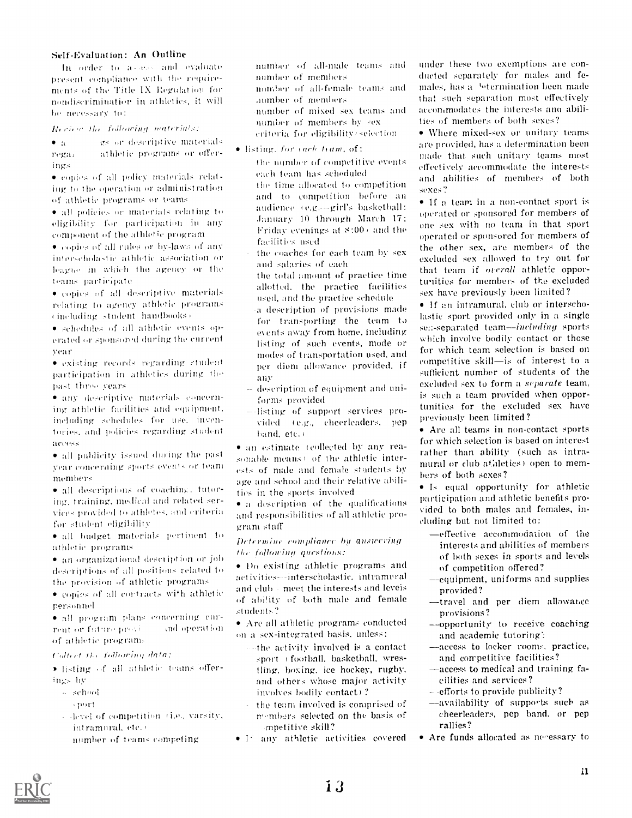#### Self-Evaluation: An Outline

In order to assess and evaluate present compliance with the requirements of the Title IX Regulation for nondiscrimination in athletics, it will be necessary to:

Review the following materials:

gs or descriptive materials  $\bullet$  is athletic programs or offerregai ings

· copies of all policy materials relating to the operation or administration of athletic programs or teams

• all policies or materials relating to eligibility for participation in any component of the athletic program

· copies of all rules or by-laws of any interscholastic athletic association or bagne in which the agency or the teams participate

· copies of all descriptive materials relating to agency athletic programs (including student handbooks)

· schedules of all athletic events operated or sponsored during the current year

• existing records regarding student participation in athletics during the past three years.

· any descriptive materials concerning athletic facilities and equipment. including schedules for use, inventories, and policies regarding student access

 $\bullet$  all publicity issued during the past vear concerning sports events or team members

· all descriptions of coaching, tutoring, training, medical and related services provided to athletes, and criteria for student eligibility

• all budget materials pertinent to athletic programs

• an organizational description or job descriptions of all positions related to the provision of athletic programs

• copies of all contracts with athletic rersonnel

· all program plans concerning curand operation rent or future presiof athletic programs

Collect the following data:

listing of all athletic teams offerings by

- school
- sport
- devel of competition (i.e., varsity, intramural, etc.)

number of teams competing

number of all-male teams and number of members number of all-female teams and aumber of members number of mixed sex teams and number of members by sex criteria for eligibility/selection

· listing, for each team, of:

the number of competitive events each team has scheduled the time allocated to competition and to competition before an audience (e.g.--girl's basketball: January 10 through March 17; Friday evenings at  $8:00+$  and the facilities used

- the coaches for each team by sex and salaries of each
- the total amount of practice time allotted, the practice facilities used, and the practice schedule

a description of provisions made for transporting the team to events away from home, including listing of such events, mode or modes of transportation used, and per diem allowance provided, if anv

- description of equipment and uniforms provided
- --listing of support services provided (e.g., cheerleaders, pep band, etc.)

• an estimate (collected by any reasonable means) of the athletic interests of male and female students by age and school and their relative abilities in the sports involved

• a description of the qualifications and responsibilities of all athletic program staff

Determine compliance by answering the following questions:

 $\bullet$  Do existing athletic programs and activities---interscholastic, intramural and club - meet the interests and levels of ability of both male and female students?

- Are all athletic programs conducted on a sex-integrated basis, unless:
	- softhe activity involved is a contact sport (football, basketball, wrestling, boxing, ice hockey, rugby. and others whose major activity involves bodily centact)?
	- the team involved is comprised of members selected on the basis of mpetitive skill?
- If any athletic activities covered Are funds allocated as necessary to

under these two exemptions are conducted separately for males and females, has a <sup>4</sup>-termination been made that such separation most effectively accommodates the interests and abilities of members of both sexes?

• Where mixed-sex or unitary teams are provided, has a determination been made that such unitary teams most effectively accommodate the interests and abilities of members of both sexes?

• If a team in a non-contact sport is operated or sponsored for members of one sex with no team in that sport operated or sponsored for members of the other sex, are members of the excluded sex allowed to try out for that team if *overall* athletic opportunities for members of the excluded sex have previously been limited?

• If an intramural, club or interscholastic sport provided only in a single sen-separated team—including sports which involve bodily contact or those for which team selection is based on competitive skill-is of interest to a sufficient number of students of the excluded sex to form a separate team, is such a team provided when opportunities for the excluded sex have previously been limited?

• Are all teams in non-contact sports for which selection is based on interest rather than ability (such as intramural or club athletics) open to members of both sexes?

• Is equal opportunity for athletic participation and athletic benefits provided to both males and females, including but not limited to:

- -effective accommodation of the interests and abilities of members of both sexes in sports and levels of competition offered?
- -equipment, uniforms and supplies provided?
- -travel and per diem allowance provisions?
- --opportunity to receive coaching and academic tutoring:
- -access to locker rooms, practice, and correctitive facilities?
- -access to medical and training facilities and services?
- -- efforts to provide publicity?
- -availability of supports such as cheerleaders, pep band, or pep rallies?
- 

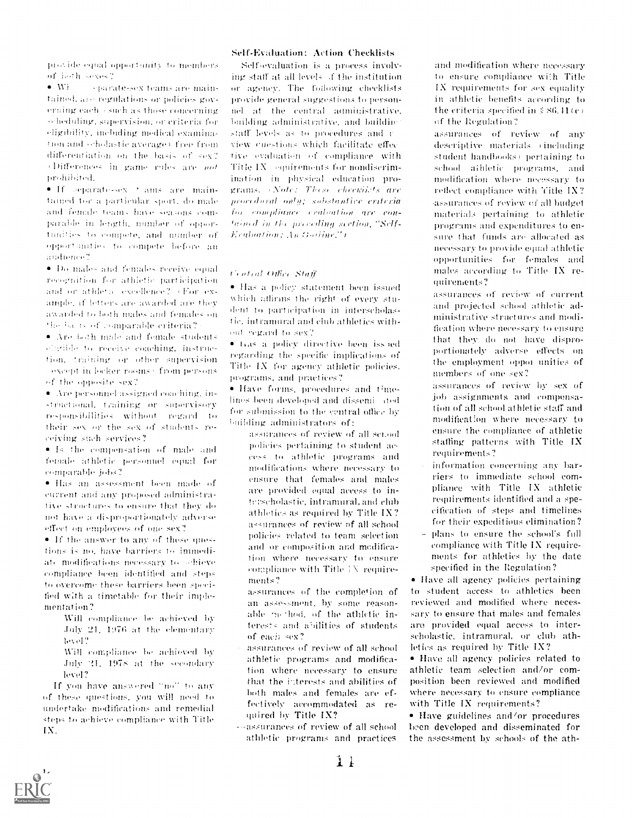provide equal opportunity to members of both sexes?

 $\bullet$  Wisparate-sex teams are maintained, and regulations or policies governing each «such as those concerning scheduling, supervision, or criteria for eligibility, including medical examination and scholastic average) free from differentiation on the basis of sex? (Differences in game rules are not prohibited.

• If separatessex tams are maintained for a particular sport, do male and female teams have seasons comparable in length, number of opportunities to compete, and mamber of opportunities to compete before an andiemse?

· Do males and females receive equal recognition for athletic participation and or athletic excellence? (For example, if letters are awarded are they awarded to both males and females on the basis of comparable criterial.

. Are both male and female students election to receive coaching, instruction, training or other supervision except in locker rooms: from persons of the opposite sex?

• Are personnel assigned coaching, instructional, training or supervisory responsibilities without regard to their sex or the sex of students receiving such services?

• Is the compensation of male and temale athletic personnel equal for comparable jobs?

. Has an assessment been made of current and any proposed administrative structures to ensure that they do not have a disproportionately adverse effect on employees of one sex?

• If the answer to any of these questions is no, have barriers to immediate modifications necessary to schieve compliance been identified and steps to overcome these barriers been specified with a timetable for their implementation?

> Will compliance be achieved by July 21, 1976 at the elementary level?

> Will compliance be achieved by July 21, 1978 at the secondary level?

If you have answered "no" to any of these questions, you will need to undertake modifications and remedial steps to achieve compliance with Title IX.

#### **Self-Evaluation: Action Checklists**

Self-evaluation is a process involving staff at all levels. I the institution or agency. The following checklists provide general suggestions to personnel at the central administrative. building administrative, and building staff levels as to procedures and r view cuestions which facilitate effec tive evaluation of compliance with Title IX squirements for nondiscrimination in physical education programs. (Note: These checklists are procedoral only; substantive criteria for compliance evaluation are contained in the preceding section, "Self-Evaluation: An Garline.")

#### Central Office Staff

• Has a policy statement been issued which affirms the right of every student to participation in interscholastic, intramural and club athletics without regard to sex?

. Las a policy directive been issued regarding the specific implications of Title IX for agency athletic policies. programs, and practices?

· Have forms, procedures and timelines been developed and dissemi-ated for submission to the central office by building administrators of:

> assurances of review of all scrool policies pertaining to student access to athletic programs and modifications where necessary to ensure that females and males are provided equal access to interscholastic, intramural, and club athletics as required by Title IX? assurances of review of all school policies related to team selection and or composition and modification where necessary to ensure compliance with Title [X requirements?

assurances of the completion of an assessment, by some reasonable method, of the athletic interests and abilities of students of each sex?

assurances of review of all school athletic programs and modification where necessary to ensure that the interests and abilities of both males and females are effectively accommodated as required by Title IX?

---assurances of review of all school athletic programs and practices

and modification where necessary to ensure compliance with Title IX requirements for sex equality in athletic benefits according to the criteria specified in  $\S 86.41(c)$ of the Regulation?

assurances of review of any descriptive materials (including student handbooks) pertaining to school athletic programs, and modification where necessary to reflect compliance with Title IX? assurances of review of all budget materials pertaining to athletic programs and expenditures to ensure that funds are allocated as necessary to provide equal athletic opportunities for females and males according to Title IX requirements?

assurances of review of current and projected school athletic administrative structures and modification where necessary to ensure that they do not have disproportionately adverse effects on the employment oppor unities of members of one sex?

assurances of review by sex of job assignments and compensation of all school athletic staff and modification where necessary to ensure the compliance of athletie staffing patterns with Title IX requirements?

- information concerning any barriers to immediate school compliance with Title IX athletic requirements identified and a specification of steps and timelines for their expeditious elimination?
- plans to ensure the school's full compliance with Title IX requirements for athletics by the date specified in the Regulation?

· Have all agency policies pertaining to student access to athletics been reviewed and modified where necessary to ensure that males and females are provided equal access to interscholastic, intramural, or elub athletics as required by Title IX?

. Have all agency policies related to athletic team selection and/or composition been reviewed and modified where necessary to ensure compliance with Title IX requirements?

• Have guidelines and/or procedures been developed and disseminated for the assessment by schools of the ath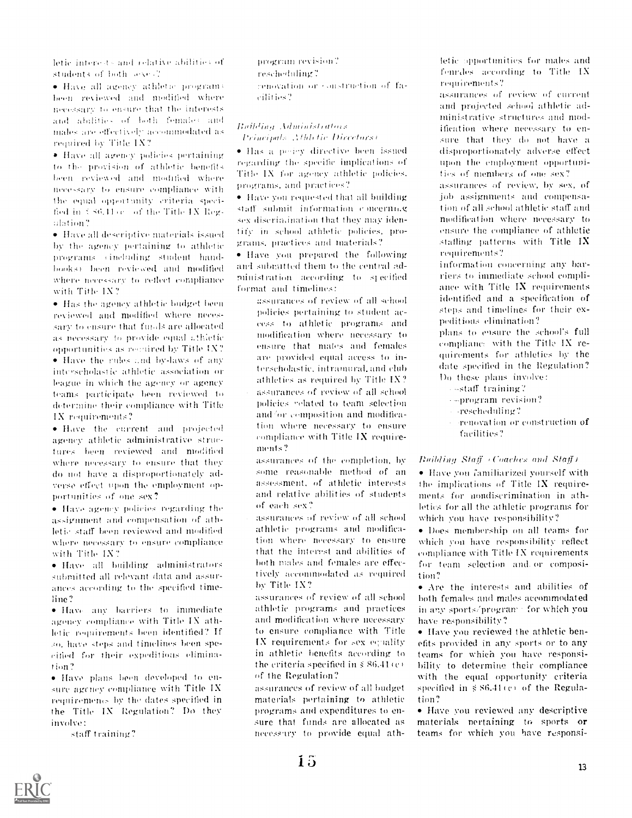letic interests and relative abilities of students of both sever?

. Have all agency athletic programs been reviewed and modified where necessary to ensure that the interests and abilities of both females and males are effectively accommodated as required by Title IX?

• Have all agency policies pertaining to the provision of athletic benefits been reviewed and modified where necessary to ensure compliance with the equal opportunity criteria specified in 5.86.41 or of the Title IX Regulation?

 $\bullet$  Have all descriptive materials issued by the agency pertaining to athletic programs cincluding student handbooks) been reviewed and modified where necessary to reflect compliance with Title IX?

• Has the agency athletic budget been reviewed and modified where necessary to ensure that funds are allocated as pecessary to provide equal athletic opportunities as receired by Title IX? . Have the rules and by-laws of any interscholastic athletic association or league in which the agency or agency teams participate been reviewed to determine their compliance with Title  $IX$  requirements?

. Have the current and projected agency athletic administrative structures been reviewed and modified where necessary to ensure that they do not have a disproportionately adverse effect upon the employment opportunities of one sex?

 $\bullet$  Have agency policies regarding the assignment and compensation of athletic staff been reviewed and modified where necessary to ensure compliance with Title IX?

. Have all building administrators submitted all relevant data and assurances according to the specified timeline?

. Have any barriers to immediate agency compliance with Title IX athletic requirements been identified? If so, have steps and timelines been specified for their expeditions elimination?

. Have plans been developed to ensure agency compliance with Title IX requirements by the dates specified in the Title IX Regulation? Do they involve:

staff training?

program revision? rescheduling? renovation or construction of facilities?

Building Administrators Principals Athletic Directors)

• Has a perfey directive been issued regarding the specific implications of Title IX for agency athletic policies. programs, and practices?

• Have you requested that all building staff submit information concerning sex discrimination that they may identity in school athletic policies, programs, practices and materials?

. Have you prepared the following and submitted them to the central administration according to specified format and timelines:

assurances of review of all school policies pertaining to student access to athletic programs and modification where necessary to ensure that males and females are provided equal access to interscholastic, intramural, and club athletics as required by Title IX? assurances of review of all school policies related to team selection and for composition and modification where necessary to ensure compliance with Title IX requirements?

assurances of the completion, by some reasonable method of an assessment, of athletic interests and relative abilities of students of each sex?

assurances of review of all school athletic programs and modification where necessary to ensure that the interest and abilities of both males and females are effectively accommodated as required by Title IX?

assurances of review of all school athletic programs and practices and modification where necessary to ensure compliance with Title IX requirements for sex equality in athletic benefits according to the criteria specified in  $\S$  86.41 (c) of the Regulation?

assurances of review of all budget materials pertaining to athletic programs and expenditures to ensure that funds are allocated as necessary to provide equal athletic opportunities for males and fenriles according to Title IX requirements?

assurances of review of current and projected school athletic administrative structures and modification where necessary to ensure that they do not have a disproportionately adverse effect upon the employment opportunities of members of one sex?

assurances of review, by sex, of job assignments and compensation of all school athletic staff and modification where necessary to ensure the compliance of athletic staffing patterns with Title IX requirements?

information concerning any barriers to immediate school compliance with Title IX requirements identified and a specification of steps and timelines for their expeditions elimination?

plans to ensure the school's full compliance with the Title IX requirements for athletics by the date specified in the Regulation? Do these plans involve:

-staff training?

---program revision?

- rescheduling?

 $\sim$  -renovation or construction of facilities?

Building Staff (Coaches and Staff)

. Have you familiarized yourself with the implications of Title IX requirements for nondiscrimination in athletics for all the athletic programs for which you have responsibility?

· Does membership on all teams for which you have responsibility reflect compliance with Title IX requirements for team selection and or composition?

. Are the interests and abilities of both females and males accommodated in any sports/program for which you have responsibility?

. Have you reviewed the athletic benefits provided in any sports or to any teams for which you have responsibility to determine their compliance with the equal opportunity criteria specified in  $$86.41(e)$  of the Regulation?

· Have you reviewed any descriptive materials pertaining to sports or teams for which you have responsi-

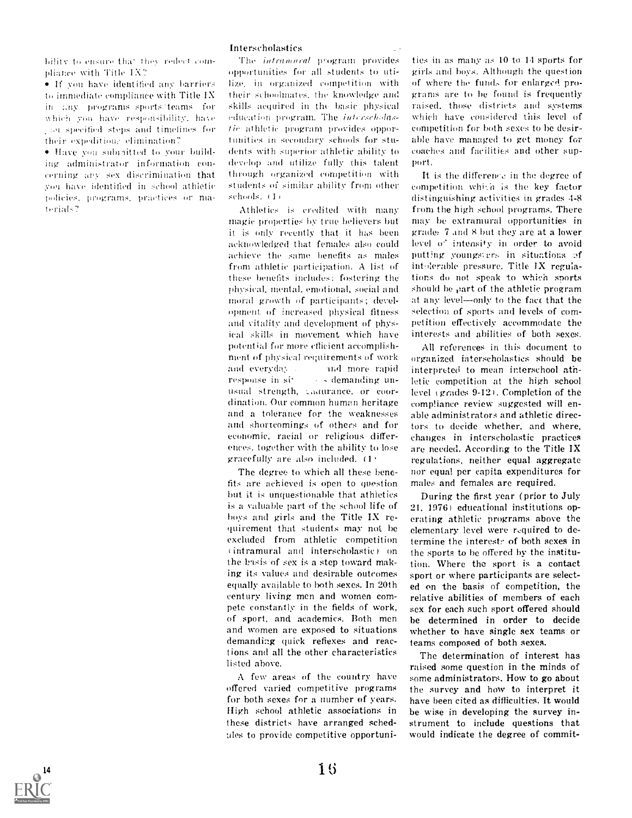bility to ensure that they redect compliance with Title IX?

If you have identified any harrier: and specified steps and timelines for their expedition: elimination...

Ilave you subnitted to your building administrator information con cerning any sex discrimination that yon have identified in school athletic policies, programs, practices or materials':

#### Interscholastics

The *intramural* program provides opportunities for all students to utilize. in organized competition with to immediate compliance with Title IX their schoolmates, the knowledge and grams are to be found is frequently in ...ny programs sports:teams for skills acquired in tht basic physical raised, those districts and systems which you have responsibility, have education program. The *interscholas*- which have considered this level of tic athletic program provides opportunities in secondary schools for students with superior athletic ability to develop and utilize fully this talent through organized competition with students of similar ability from other  $schools.$  $(1)$ 

> Athletics is credited with many magic properties by true believers but it is only recently that it has been aekiwwledged that females also could achieve the same benefits as males from athletic participation. A list of these benefits includes: fostering the physical, mental, emotional, social and moral growth of participants; development of increased physical fitness and vitality and development of physical skills in movement which have potential for more efficient accomplishment of physical requirements of work and everyday. The more rapid response in si' a demanding unusual strength, chaurance, or coordination. Our common human heritage and a tolerance for the weaknesses and shortcomings of others and for economic, racial or religious differences, together with the ability to lose gracefully are also included. (1

The degree to which all these benefits are achieved is open to question but it is unquestionalde that athletics is a valuable part of the school life of boys and girls and the Title IX re- quirement that students may not be excluded from athletic competition ( intramural and interscholastic) on the letsis of sex is a step toward making its values and desirable outcomes equally available to both sexes. In 20th century living men and women compete constantly in the fields of work, of sport, and academics. Both men and women are exposed to situations demanding quick reflexes and reactions and all the other characteristics listed above.

A few areas of the country have offered varied competitive programs for both sexes for a number of years. High school athletic associations in these districts have arranged schedules to provide competitive opportuni-

ties in as many as 10 to 14 sports for girls and boys. Although the question of where the funds for enlarged procompetition for both sexes to be desirable have managed to get money for coaches and facilities and other support.

It is the difference in the degree of competition which is the key factor distinguishing activities in grades 1-8 from the high school programs. There may be extramural opportunities in g rade: 7 and 8 but they are at a lower level of intensity in order to avoid putting youngs;crs in situations of int-derable pressure. Title IX regulations do not speak to which sports should be part of the athletic program at any level-only to the fact that the selection of sports and levels of competition effectively accommodate the interests and abilities of both sexes.

All references in this document to organized interscholastics should be interpreted to mean interschool athletic competition at the high school level igrades 9-12), Completion of the compliance review suggested will enable administrators and athletic directors to decide whether, and where, changes in interscholastic practices are needed. According to the Title IX regulations, neither equal aggregate nor equal per capita expenditures for males and females are required.

During the first year (prior to July 21, 1976) educational institutions operating athletic programs above the elementary level were required to determine the interestr of both sexes in the sports to be offered by the institution. Where the sport is a contact sport or where participants are selected on the basis of competition, the relative abilities of members of each sex for each such sport offered should be determined in order to decide whether to have single sex teams or teams composed of both sexes.

The determination of interest has raised some question in the minds of some administrators. How to go about the survey and how to interpret it have been cited as difficulties. It would be wise in developing the survey instrument to include questions that would indicate the degree of commit-

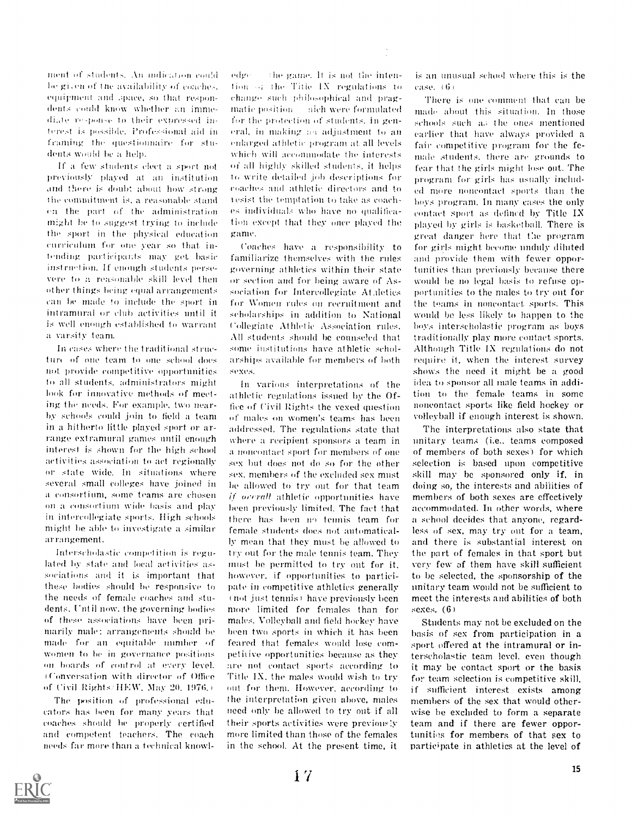ment of students. An indication could be given of the availability of coaches. equipment and space, so that respondents could know whether an immediate response to their expressed interest is possible. Professional aid in framing the questionnaire for students would be a help.

If a few students elect a sport not previously played at an institution and there is doubt about how strong the commitment is, a reasonable stand en the part of the administration might be to suggest trying to include the sport in the physical education curriculum for one year so that intending participants may get basic instruction. If enough students persevere to a reasonable skill level then other things being equal arrangements can be made to include the sport in intramural or club activities until it is well enough established to warrant a varsity team.

In cases where the traditional structure of one team to one school does not provide competitive opportunities to all students, administrators might look for innovative methods of meeting the needs. For example, two nearby schools could join to field a team in a hitherto little played sport or arrange extramural games until enough interest is shown for the high school activities association to act regionally or state wide. In situations where several small colleges have joined in a consortium, some teams are chosen on a consortium wide basis and play in intercollegiate sports. High schools might be able to investigate a similar arrangement.

Interscholastic competition is regulated by state and local activities associations and it is important that these bodies should be responsive to the needs of female coaches and students. Until now, the governing bodies of these associations have been primarily male; arrangements should be made for an equitable number of women to be in governance positions on boards of control at every level. (Conversation with director of Office of Civil Rights/HEW, May 20, 1976.)

The position of professional educators has been for many years that coaches should be properly certified and competent teachers. The coach needs far more than a technical knowledge the game. It is not the intention of the Title IX regulations to change such philosophical and pragmatic position - nich were formulated for the protection of students, in general, in making an adjustment to an enlarged athletic program at all levels which will accommodate the interests of all highly skilled students, it helps to write detailed job descriptions for coaches and athletic directors and to resist the temptation to take as coaches individuals who have no qualification except that they once played the game.

Coaches have a responsibility to familiarize themselves with the rules governing athletics within their state or section and for being aware of Association for Intercollegiate Ataletics for Women rules on recruitment and scholarships in addition to National Collegiate Athletic Association rules. All students should be counseled that some institutions have athletic scholarships available for members of both sexes.

In various interpretations of the athletic regulations issued by the Office of Civil Rights the vexed question of males on women's teams has been addressed. The regulations state that where a recipient sponsors a team in a noncontact sport for members of one sex but does not do so for the other sex, members of the excluded sex must be allowed to try out for that team *if overall* athletic opportunities have been previously limited. The fact that there has been no tennis team for female students does not automatically mean that they must be allowed to try out for the male tennis team. They must be permitted to try out for it. however, if opportunities to participate in competitive athletics generally (not just tennis) have previously been more limited for females than for males. Volleyball and field hockey have been two sports in which it has been feared that females would lose competitive opportunities because as they are not contact sports according to Title IX, the males would wish to try out for them. However, according to the interpretation given above, males need only be allowed to try out if all their sports activities were previously more limited than those of the females in the school. At the present time, it

is an unusual school where this is the case.  $(6)$ 

There is one comment that can be made about this situation. In those schools such as the ones mentioned earlier that have always provided a fair competitive program for the female students, there are grounds to fear that the girls might lose out. The program for girls has usually included more noncontact sports than the boys program. In many cases the only contact sport as defined by Title IX played by girls is basketball. There is great danger here that the program for girls might become unduly diluted and provide them with fewer opportunities than previously because there would be no legal basis to refuse opportunities to the males to try out for the teams in noncontact sports. This would be less likely to happen to the boys interscholastic program as boys traditionally play more contact sports. Although Title IX regulations do not require it, when the interest survey shows the need it might be a good idea to sponsor all male teams in addition to the female teams in some noncontact sports like field hockey or volleyball if enough interest is shown.

The interpretations also state that unitary teams (i.e., teams composed of members of both sexes) for which selection is based upon competitive skill may be sponsored only if, in doing so, the interests and abilities of members of both sexes are effectively accommodated. In other words, where a school decides that anyone, regardless of sex, may try out for a team, and there is substantial interest on the part of females in that sport but very few of them have skill sufficient to be selected, the sponsorship of the unitary team would not be sufficient to meet the interests and abilities of both sexes.  $(6)$ 

Students may not be excluded on the basis of sex from participation in a sport offered at the intramural or interscholastic team level, even though it may be contact sport or the basis for team selection is competitive skill. if sufficient interest exists among members of the sex that would otherwise be excluded to form a separate team and if there are fewer opportunities for members of that sex to participate in athletics at the level of

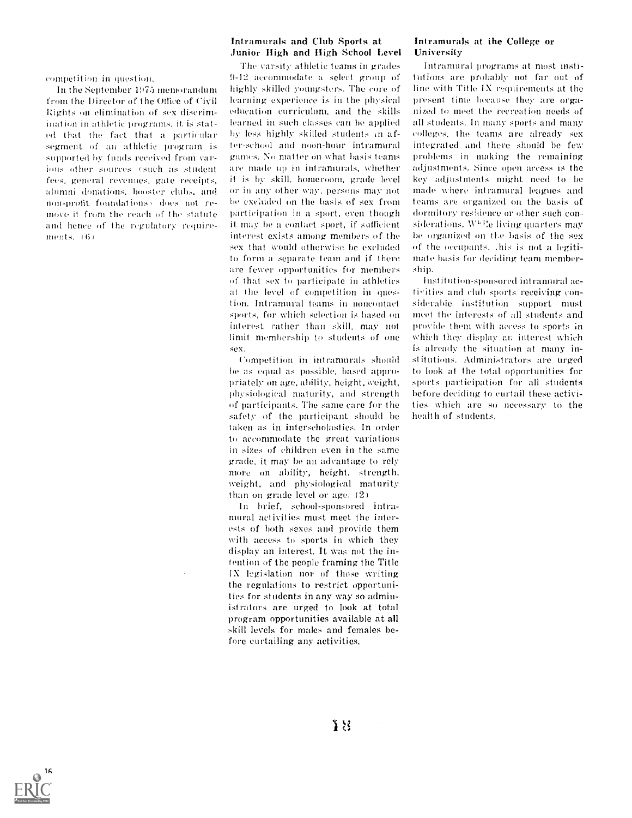competition in question.

hi the September 1975 memorandum from the Director of the Office of Civil Rights on elimination of sex discrimination in athletic programs, it is stated that the fact that <sup>a</sup> particular segment of an athletic program is supported by funds received from various other sources (such as student fees. general revenues, gate receipts, alumni donations, booster clubs, and non-profit founilat ions does not remove it from the reach of the statute and hence of the regulatory requirements. (6)

#### Intramurals and Club Sports at Junior High and High School Level

The varsity athletic teams in grades 9-12 accommodate a select group of highly skilled youngsters. The core of learning experience is in the physical education curriculum, and the skills learned in such classes can be applied hy less higldy skilled students in after-school and noon-hour intramural games. No matter on what basis teams are made up in intramurals, whether it is by skill. homeroom, grade level or in any other way, persons may not he exc;tuled on the basis of sex from participation in a sport, even though it may be a contact sport, if sufficient interest exists among members of the sex that would otherwise be excluded to form a separate team and if there are fewer opportunities for memhers of that sex to participate in athletics at the level of competition in question. Intranntral teams in noncontact sports, for which selection is based on interest rather than skill. may not limit membership to students of one sex.

Competition in intramurals should be as equal as possilde, based appropriately on age, ability, height, weight, physiological maturity, and strength of participants. The same care for the safety of the participant should be taken as in interscholastics. In order to accommodate the great variations in sizes of children even in the same grade, it may be an advantage to rely more on ability, height, strength, weight, and physiological maturity than on grade level or age. (2)

In brief, school-sponsored intramural activities must meet the interests of hoth sexes and provide them with access to sports in which they display an interest. It was not the intention of the people framing the Title IX legislation nor of those writing the regulations to restrict opportunities for students in any way so administrators are urged to look at total program opportunities available at all skill levels for males and females before curtailing any activities.

#### Intramurals at the College or University

Intramural programs at most institutions are probably not far out of line with Title IX requirements at the present time because they are organized to meet the recreation needs of all students. In many sports and many colleges, the teams are already sex integrated and there should be few problems in making the remaining adjustments. Since open access is the key adjustments might need to be made where intramural leagues and teams are organized on the basis of dormitory residence or other such considerations. W<sup>13</sup>le living quarters may be organized on the basis of the sex of the occupants, .his is not a legitimate basis for deciding team membership.

Institution-sponsored intramural activities and club sports receiving considerable institution support must meet the interests of all students and provide them with access to sports in which they display an interest which is already the situation at many institutions. Administrators are urged to look at the total opportunities for sports participation for all students before deciding to curtail these activities which are so necessary to the health of students.

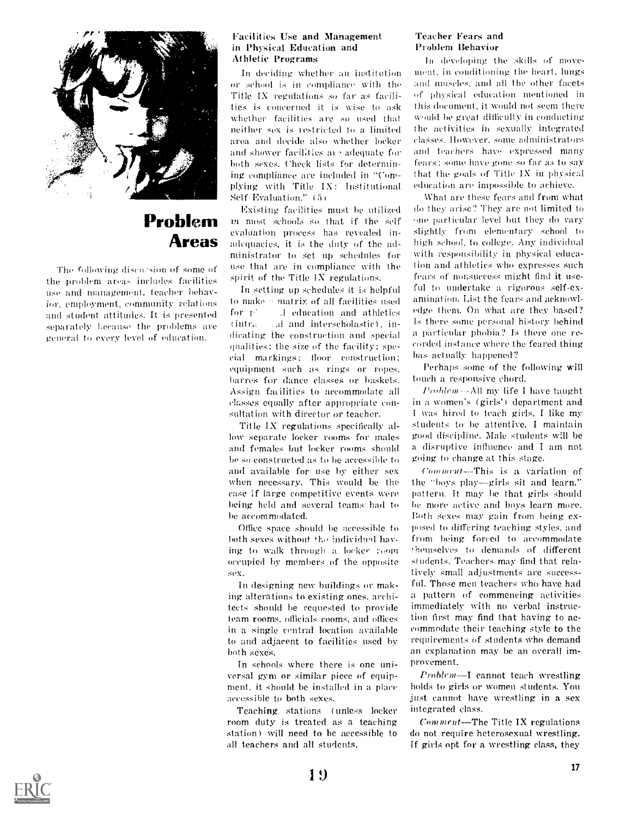

The following discursion of some of the problem areas includes facilities use and management, teacher behavior, employment, community relations to mal<br>and student attitudes. It is presented for F and student attitudes. It is presented  $\begin{bmatrix}$  for  $\overline{V} \\$  connected because the problems are  $\overline{V}$  (intra separately because the problems are general to every level of education.

#### Facilities Use and Management in Physical Education and Athletic Programs

In deciding whether an institution or school is in compliance with the Title IX regulations so far as facilities is concerned it is wise to ask whether facilities are so used that neither sex is restricted to a limited area and decide also whether locker and shower facilities are adequate for both sexes. Check lists for determining compliance are included in "Complying with Title IX: Institutional Self Evaluation." (5)

**Problem** in most schools so that if the self  $\frac{m}{\sin \theta}$ **Areas** evaluation process has reveated in-<br>**Areas** adequacies, it is the duty of the ad-Existing facilities must be utilized evaluation process has revealed inministrator to set up schedules for use that are in compliance with the spirit of the Title IX regulations.

> In setting up schedules it is helpful to make matrix of all facilities used for 1: .1 education and athletics al and interscholastic), indicating ihe construction and special qualities: the size of the facility; special markings; floor construction; equipment such as rings or ropes, barres for dance classes or baskets. Assign facilities to accommodate all chisses equally after appropriate consultation with director or teacher.

Title IX regulations specifically allow separate locker rooms for males and females but locker rooms should be so constructed as to be accessible to and available for use by either sex when necessary. This would be the case if large competitive events were being held and several teams had to be accommodated.

Office space should be uceessible to both sexes without tho individudil having to walk through a locker reom occupied by members of the opposite sex.

In designing new buildings or making alterations to existing ones. architects should be requested to provide team rooms. officials rooms, and offices in a single central location available to and adjacent to facilities used by both sexes.

In schools where there is one universal gym or similar piece of equipment, it should be installed in a place accessible to both sexes.

Teaching stations (unless locker room duty is treated as a teaching station) will need to be accessible to all teachers and all students.

### Teacher Fears and Problem Behavior

In developing the skills of movement, in conditioning the heart, lungs and muscles, and all the other facets of physical education mentioned in this document, it would not seem there would be great difficulty in conducting the activities in sexually integrated classes. However, some administrators and teachers have expressed many fears: some have gone so far as to say that the goals of Title IX in physical education are impossible to achieve.

What are these fears and from what do they arise? They are not limited to one particular level but they do vary slightly from elementary school to high school, to college. Any individual with responsibility in physical education and athletics who expresses such fears of nonsuccess might find it useful to undertake a rigorous self-examination. List the fears and acknowledge them. On what are they based? Is there sonic personal history behind a particular phobia? Is there one recorded instance where the feared thing has actually happened?

Perhaps some of the following will touch a responsive chord.

 $Problem-All$  my life. I have taught in a women's (girls') department and I was hired to teach girls. I like my students to be attentive, I maintain good discipline. Male students w:11 be a disruptive influence and I am not going to change at this stage.

Comment--This is a variation of the "boys play-girls sit and learn." pattern. It may be that girls should be more active and boys learn more. Poth sexes may gain from being exposed to differing teaching styles, and from being forced to accommodate vhemselves to demands of different students. Teachers may find that relatively small adjustments are successfill. Those men teachers who have had a pattern of commencing activities immediately with no verbal instruction first may find that having to accommodate their teaching style to the requirements of students \vho demand an explanation may be an overall improvement.

Problem-I cannot teach wrestling holds to girls or women students. You just cannot have wrestling in a sex integrated class.

 $Comment$ —The Title IX regulations do not require heterosexual wrestling. If girls opt for a wrestling class, they

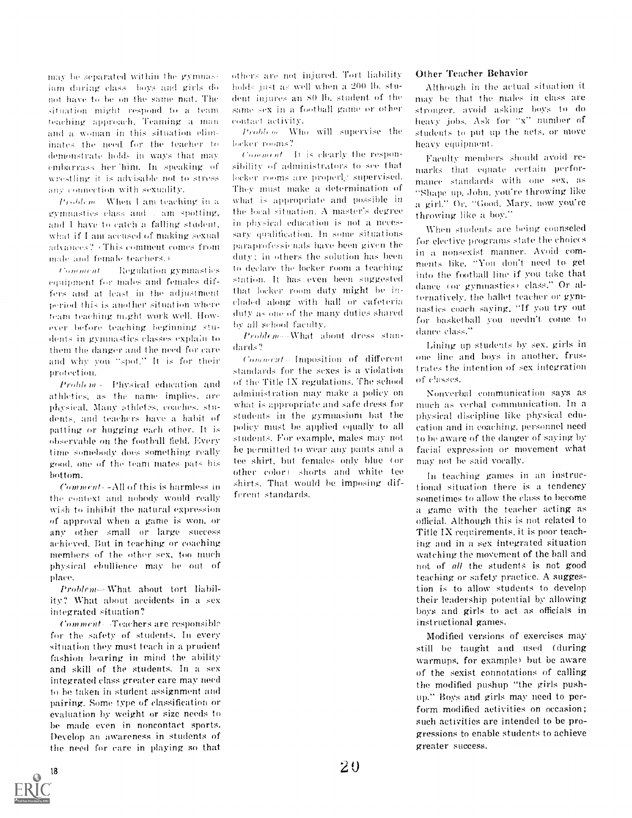may be separated within the gymnasium during class boys and girls do not have to be on the same mat. The situation might respond to a team teaching approach. Teaming a man and a woman in this situation eliminates the need for the teacher to demonstrate holds in ways that may embarrass her him. In speaking of wrestling it is advisable not to stress any connection with sexuality.

Problem When I am teaching in a gymnastics class and . am spotting, and I have to catch a falling student. what if I am accused of making sexual advances? (This comment comes from male and female teachers.)

Comment Regulation gymnastics equipment for males and females differs and at least in the adjustment period this is another situation where team teaching might work well. However before teaching beginning students in gymnastics classes explain to them the danger and the need for care and why you "spot," It is for their protection.

*Problem -* Physical education and athletics, as the name implies, are physical, Many athletes, coaches, students, and teachers have a habit of patting or hugging each other. It is observable on the football field. Every time somebody does something really good, one of the team mates pats his bottom.

Comment-All of this is harmless in the context and nobody would really wish to inhibit the natural expression of approval when a game is won, or any other small or large success achieved. But in teaching or coaching members of the other sex, too much physical ebullience may be out of place.

*Problem*---What about tort liability? What about accidents in a sex integrated situation?

Comment Teachers are responsible for the safety of students. In every situation they must teach in a prudent fashion bearing in mind the ability and skill of the students. In a sex integrated class greater care may need to be taken in student assignment and pairing. Some type of classification or evaluation by weight or size needs to be made even in noncontact sports. Develop an awareness in students of the need for care in playing so that

others are not injured. Tort liability holds just as well when a 200 lb. student injures an 80 lb, student of the same sex in a football game or other contact activity.

 $Problem$  Who will supervise the heker rooms?

Comment. It is clearly the responsibility of administrators to see that locker rooms are properly supervised. They must make a determination of what is appropriate and possible in the local situation. A master's degree in physical education is not a necessary qualification. In some situations paraprofessionals have been given the duty; in others the solution has been to declare the locker room a teaching station. It has even been suggested that locker room duty might be included along with hall or cafeteria duty as one of the many duties shared by all school faculty.

Problem-What about dress standards?

Comment - Imposition of different standards for the sexes is a violation of the Title IX regulations. The school administration may make a policy on what is appropriate and safe dress for students in the gymnasium but the policy must be applied equally to all students. For example, males may not be permitted to wear any pants and a tee shirt, but females only blue (or other color) shorts and white tee shirts. That would be imposing different standards.

#### Other Teacher Behavior

Although in the actual situation it may be that the males in class are stronger, avoid asking boys to do heavy jobs, Ask for "x" number of students to put up the nets, or move heavy equipment.

Faculty members should avoid remarks that equate certain performance standards with one sex, as "Shape up, John, you're throwing like a girl." Or, "Good, Mary, now you're throwing like a boy."

When students are being counseled for elective programs state the choices in a nonsexist manner. Avoid comments like, "You don't need to get into the football line if you take that dance (or gynmastics) class." Or alternatively, the ballet teacher or gymnastics coach saying. "If you try out for basketball you needn't come to dance class."

Lining up students by sex, girls in one line and boys in another, frustrates the intention of sex integration of classes.

Nonverbal communication says as much as verbal communication. In a physical discipline like physical education and in coaching, personnel need to be aware of the danger of saying by facial expression or movement what may not be said vocally.

In teaching games in an instructional situation there is a tendency sometimes to allow the class to become a game with the teacher acting as official. Although this is not related to Title IX requirements, it is poor teaching and in a sex integrated situation watching the movement of the ball and not of all the students is not good teaching or safety practice. A suggestion is to allow students to develop their leadership potential by allowing boys and girls to act as officials in instructional games.

Modified versions of exercises may still be taught and used (during warmups, for example) but be aware of the sexist connotations of calling the modified pushup "the girls pushup." Boys and girls may need to perform modified activities on occasion; such activities are intended to be progressions to enable students to achieve greater success.

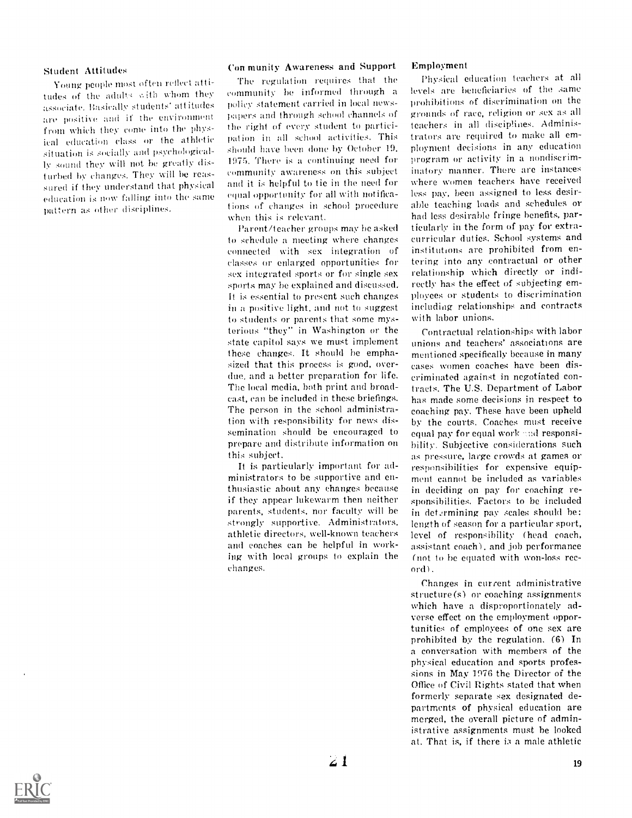#### Student Attitudes

Young people most often reflect attitudes of the adults with whom they associate. Basically students' attitudes are positive and if the environment from which they come into the physical education class or the athletic situation is socially and psychologically sound they will not be greatly disturbed by changes. They will be reassured if they understand that physical education is now falling into the same pattern as other disciplines.

#### Con munity Awareness and Support

The regulation requires that the community be informed through a policy statement carried in local newspapers and through school channels of the right of every student to participation in all school activities. This should have been done by October 19. 1975. There is a continuing need for community awareness on this subject and it is helpful to tie in the need for equal opportunity for all with notifications of changes in school procedure when this is relevant.

Parent/teacher groups may he asked to schedule a meeting where changes connected with sex integration of classes or enlarged opportunities for sex integrated sports or for single sex sports may be explained and discussed. It is essential to present such changes in a positive light, and not to suggest to students or parents that some mysterious "they" in Washington or the state capitol says we must implement these changes. It should be emphasized that this process is good, overdue. and a better preparation for life. The local media, both print and broadcast, can be included in these briefings. The person in the school administration with responsibility for news dissemination should be encouraged to prepare and distribute information on this subject.

It is particularly important for administrators to be supportive and enthusiastic about any changes because if they appear lukewarm then neither parents, students, nor faculty will be strongly supportive. Administrators. athletic directors, well-known teachers and coaches can be helpful in working with local groups to explain the changes.

#### Employment

Physical education teachers at all levels are beneficiaries of the same prohibitions of discrimination on the grounds of race, religion or sex as all teachers in all disciplines. Administrators are required to make all employment decisions in any education program or activity in a nondiscriminatory manner. There are instances where women teachers have received less pay, been assigned to less desirable teaching loads and schedules or had less desirable fringe benefits, particularly in the form of pay for extracurricular duties. School systems and institutions are prohibited from entering into any contractual or other relationship which directly or indirectly has the effect of subjecting employees or students to discrimination including relationships and contracts with labor unions.

Contractual relationships with labor unions and teachers' associations are mentioned specifically because in many cases women coaches have been discriminated against in negotiated contracts. The U.S. Department of Labor has made some decisions in respect to coaching pay. These have been upheld by the courts. Coaches must receive equal pay for equal work and responsibility. Subjective considerations such as pressure, large crowds at games or responsibilities for expensive equipment cannot be included as variables in deciding on pay for coaching responsibilities. Factors to be included in determining pay scales should be: length of season for a particular sport, level of responsibility (head coach, assistant coach), and job performance (not to be equated with won-loss record).

Changes in current administrative structure(s) or coaching assignments which have a disproportionately adverse effect on the employment opportunities of employees of one sex are prohibited by the regulation. (6) In a conversation with members of the physical education and sports professions in May 1976 the Director of the Office of Civil Rights stated that when formerly separate sex designated departments of physical education are merged, the overall picture of administrative assignments must he looked at. That is, if there ia a male athletic